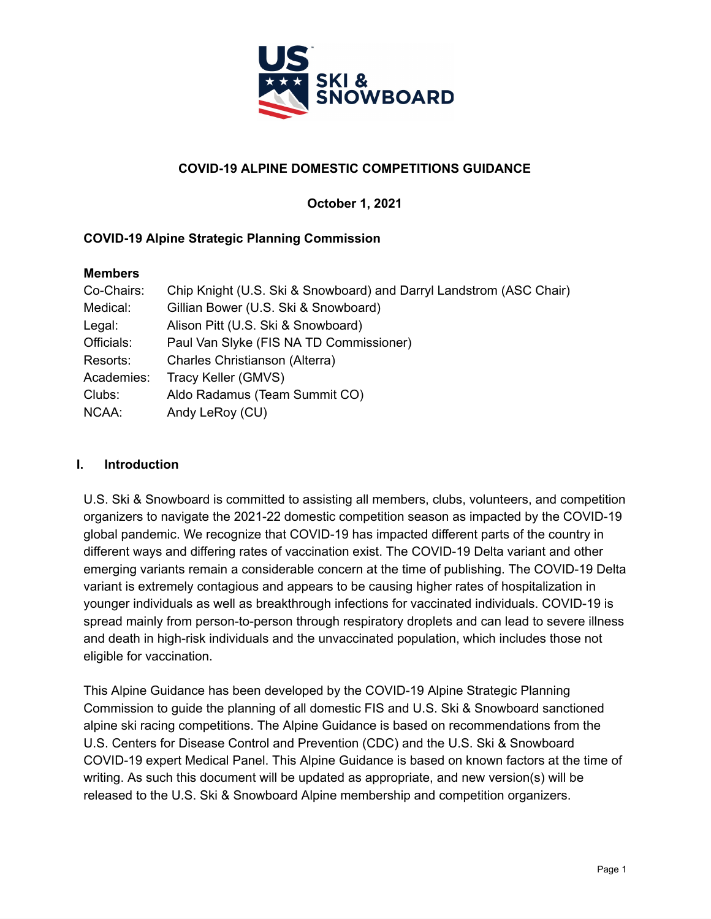

# **COVID-19 ALPINE DOMESTIC COMPETITIONS GUIDANCE**

**October 1, 2021**

# **COVID-19 Alpine Strategic Planning Commission**

#### **Members**

| Co-Chairs: | Chip Knight (U.S. Ski & Snowboard) and Darryl Landstrom (ASC Chair) |
|------------|---------------------------------------------------------------------|
| Medical:   | Gillian Bower (U.S. Ski & Snowboard)                                |
| Legal:     | Alison Pitt (U.S. Ski & Snowboard)                                  |
| Officials: | Paul Van Slyke (FIS NA TD Commissioner)                             |
| Resorts:   | Charles Christianson (Alterra)                                      |
| Academies: | Tracy Keller (GMVS)                                                 |
| Clubs:     | Aldo Radamus (Team Summit CO)                                       |
| NCAA:      | Andy LeRoy (CU)                                                     |

# **I. Introduction**

U.S. Ski & Snowboard is committed to assisting all members, clubs, volunteers, and competition organizers to navigate the 2021-22 domestic competition season as impacted by the COVID-19 global pandemic. We recognize that COVID-19 has impacted different parts of the country in different ways and differing rates of vaccination exist. The COVID-19 Delta variant and other emerging variants remain a considerable concern at the time of publishing. The COVID-19 Delta variant is extremely contagious and appears to be causing higher rates of hospitalization in younger individuals as well as breakthrough infections for vaccinated individuals. COVID-19 is spread mainly from person-to-person through respiratory droplets and can lead to severe illness and death in high-risk individuals and the unvaccinated population, which includes those not eligible for vaccination.

This Alpine Guidance has been developed by the COVID-19 Alpine Strategic Planning Commission to guide the planning of all domestic FIS and U.S. Ski & Snowboard sanctioned alpine ski racing competitions. The Alpine Guidance is based on recommendations from the U.S. Centers for Disease Control and Prevention (CDC) and the U.S. Ski & Snowboard COVID-19 expert Medical Panel. This Alpine Guidance is based on known factors at the time of writing. As such this document will be updated as appropriate, and new version(s) will be released to the U.S. Ski & Snowboard Alpine membership and competition organizers.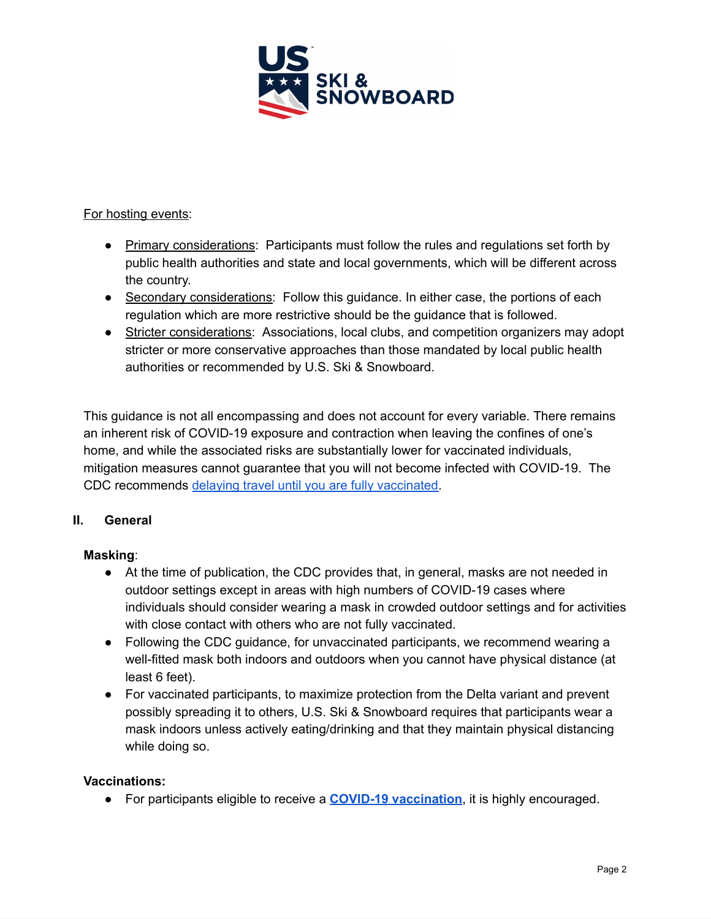

For hosting events:

- Primary considerations: Participants must follow the rules and regulations set forth by public health authorities and state and local governments, which will be different across the country.
- Secondary considerations: Follow this guidance. In either case, the portions of each regulation which are more restrictive should be the guidance that is followed.
- Stricter considerations: Associations, local clubs, and competition organizers may adopt stricter or more conservative approaches than those mandated by local public health authorities or recommended by U.S. Ski & Snowboard.

This guidance is not all encompassing and does not account for every variable. There remains an inherent risk of COVID-19 exposure and contraction when leaving the confines of one's home, and while the associated risks are substantially lower for vaccinated individuals, mitigation measures cannot guarantee that you will not become infected with COVID-19. The CDC recommends delaying travel until you are fully vaccinated.

# **II. General**

# **Masking**:

- At the time of publication, the CDC provides that, in general, masks are not needed in outdoor settings except in areas with high numbers of COVID-19 cases where individuals should consider wearing a mask in crowded outdoor settings and for activities with close contact with others who are not fully vaccinated.
- Following the CDC quidance, for unvaccinated participants, we recommend wearing a well-fitted mask both indoors and outdoors when you cannot have physical distance (at least 6 feet).
- For vaccinated participants, to maximize protection from the Delta variant and prevent possibly spreading it to others, U.S. Ski & Snowboard requires that participants wear a mask indoors unless actively eating/drinking and that they maintain physical distancing while doing so.

# **Vaccinations:**

● For participants eligible to receive a **COVID-19 vaccination**, it is highly encouraged.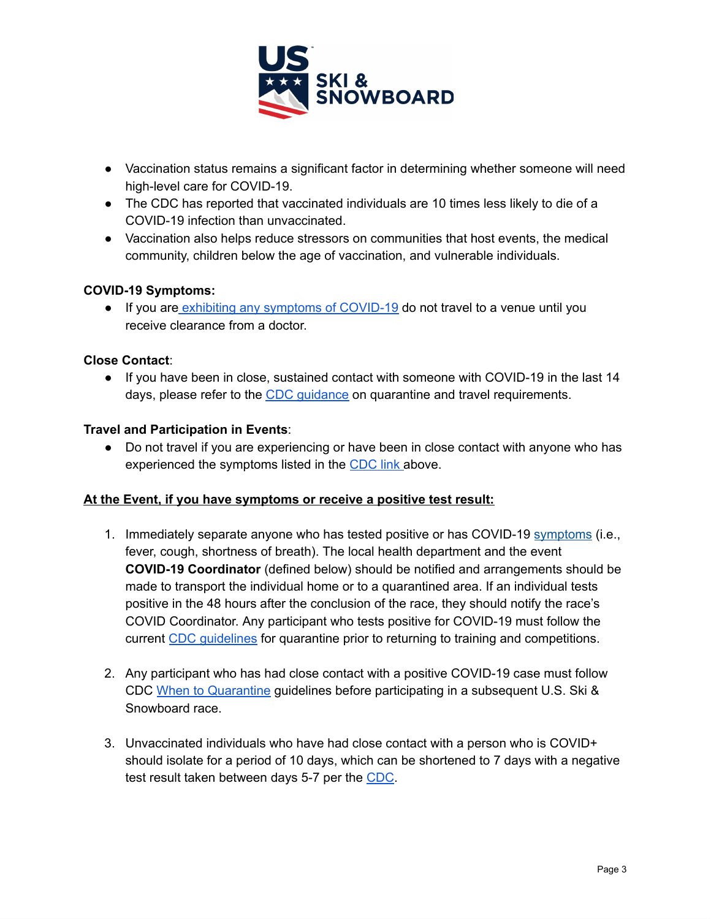

- Vaccination status remains a significant factor in determining whether someone will need high-level care for COVID-19.
- The CDC has reported that vaccinated individuals are 10 times less likely to die of a COVID-19 infection than unvaccinated.
- Vaccination also helps reduce stressors on communities that host events, the medical community, children below the age of vaccination, and vulnerable individuals.

### **COVID-19 Symptoms:**

● If you are exhibiting any symptoms of COVID-19 do not travel to a venue until you receive clearance from a doctor.

#### **Close Contact**:

● If you have been in close, sustained contact with someone with COVID-19 in the last 14 days, please refer to the CDC guidance on quarantine and travel requirements.

#### **Travel and Participation in Events**:

• Do not travel if you are experiencing or have been in close contact with anyone who has experienced the symptoms listed in the CDC link above.

#### **At the Event, if you have symptoms or receive a positive test result:**

- 1. Immediately separate anyone who has tested positive or has COVID-19 symptoms (i.e., fever, cough, shortness of breath). The local health department and the event **COVID-19 Coordinator** (defined below) should be notified and arrangements should be made to transport the individual home or to a quarantined area. If an individual tests positive in the 48 hours after the conclusion of the race, they should notify the race's COVID Coordinator. Any participant who tests positive for COVID-19 must follow the current CDC guidelines for quarantine prior to returning to training and competitions.
- 2. Any participant who has had close contact with a positive COVID-19 case must follow CDC When to Quarantine guidelines before participating in a subsequent U.S. Ski & Snowboard race.
- 3. Unvaccinated individuals who have had close contact with a person who is COVID+ should isolate for a period of 10 days, which can be shortened to 7 days with a negative test result taken between days 5-7 per the CDC.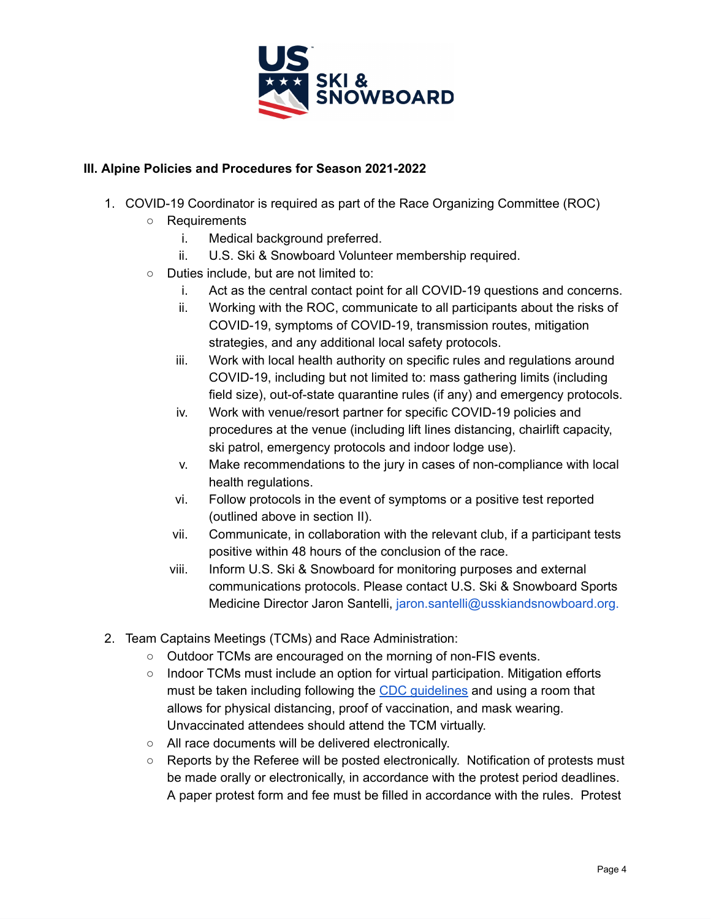

### **III. Alpine Policies and Procedures for Season 2021-2022**

- 1. COVID-19 Coordinator is required as part of the Race Organizing Committee (ROC)
	- Requirements
		- i. Medical background preferred.
		- ii. U.S. Ski & Snowboard Volunteer membership required.
	- Duties include, but are not limited to:
		- i. Act as the central contact point for all COVID-19 questions and concerns.
		- ii. Working with the ROC, communicate to all participants about the risks of COVID-19, symptoms of COVID-19, transmission routes, mitigation strategies, and any additional local safety protocols.
		- iii. Work with local health authority on specific rules and regulations around COVID-19, including but not limited to: mass gathering limits (including field size), out-of-state quarantine rules (if any) and emergency protocols.
		- iv. Work with venue/resort partner for specific COVID-19 policies and procedures at the venue (including lift lines distancing, chairlift capacity, ski patrol, emergency protocols and indoor lodge use).
		- v. Make recommendations to the jury in cases of non-compliance with local health regulations.
		- vi. Follow protocols in the event of symptoms or a positive test reported (outlined above in section II).
		- vii. Communicate, in collaboration with the relevant club, if a participant tests positive within 48 hours of the conclusion of the race.
		- viii. Inform U.S. Ski & Snowboard for monitoring purposes and external communications protocols. Please contact U.S. Ski & Snowboard Sports Medicine Director Jaron Santelli, jaron.santelli@usskiandsnowboard.org.
- 2. Team Captains Meetings (TCMs) and Race Administration:
	- Outdoor TCMs are encouraged on the morning of non-FIS events.
	- Indoor TCMs must include an option for virtual participation. Mitigation efforts must be taken including following the CDC guidelines and using a room that allows for physical distancing, proof of vaccination, and mask wearing. Unvaccinated attendees should attend the TCM virtually.
	- All race documents will be delivered electronically.
	- Reports by the Referee will be posted electronically. Notification of protests must be made orally or electronically, in accordance with the protest period deadlines. A paper protest form and fee must be filled in accordance with the rules. Protest